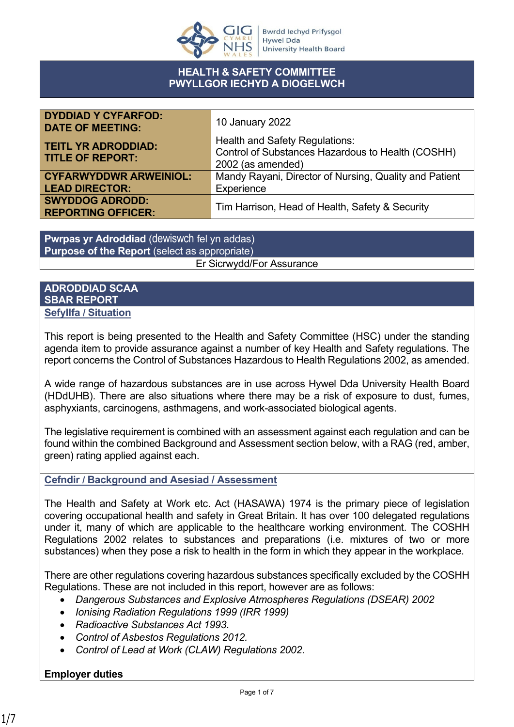

### **HEALTH & SAFETY COMMITTEE PWYLLGOR IECHYD A DIOGELWCH**

| <b>DYDDIAD Y CYFARFOD:</b><br><b>DATE OF MEETING:</b>  | 10 January 2022                                                                                                 |
|--------------------------------------------------------|-----------------------------------------------------------------------------------------------------------------|
| <b>TEITL YR ADRODDIAD:</b><br><b>TITLE OF REPORT:</b>  | <b>Health and Safety Regulations:</b><br>Control of Substances Hazardous to Health (COSHH)<br>2002 (as amended) |
| <b>CYFARWYDDWR ARWEINIOL:</b><br><b>LEAD DIRECTOR:</b> | Mandy Rayani, Director of Nursing, Quality and Patient<br>Experience                                            |
| <b>SWYDDOG ADRODD:</b><br><b>REPORTING OFFICER:</b>    | Tim Harrison, Head of Health, Safety & Security                                                                 |

**Pwrpas yr Adroddiad** (dewiswch fel yn addas) **Purpose of the Report** (select as appropriate) Er Sicrwydd/For Assurance

### **ADRODDIAD SCAA SBAR REPORT Sefyllfa / Situation**

This report is being presented to the Health and Safety Committee (HSC) under the standing agenda item to provide assurance against a number of key Health and Safety regulations. The report concerns the Control of Substances Hazardous to Health Regulations 2002, as amended.

A wide range of hazardous substances are in use across Hywel Dda University Health Board (HDdUHB). There are also situations where there may be a risk of exposure to dust, fumes, asphyxiants, carcinogens, asthmagens, and work-associated biological agents.

The legislative requirement is combined with an assessment against each regulation and can be found within the combined Background and Assessment section below, with a RAG (red, amber, green) rating applied against each.

## **Cefndir / Background and Asesiad / Assessment**

The Health and Safety at Work etc. Act (HASAWA) 1974 is the primary piece of legislation covering occupational health and safety in Great Britain. It has over 100 delegated regulations under it, many of which are applicable to the healthcare working environment. The COSHH Regulations 2002 relates to substances and preparations (i.e. mixtures of two or more substances) when they pose a risk to health in the form in which they appear in the workplace.

There are other regulations covering hazardous substances specifically excluded by the COSHH Regulations. These are not included in this report, however are as follows:

- *Dangerous Substances and Explosive Atmospheres Regulations (DSEAR) 2002*
- *Ionising Radiation Regulations 1999 (IRR 1999)*
- *Radioactive Substances Act 1993*.
- *Control of Asbestos Regulations 2012.*
- *Control of Lead at Work (CLAW) Regulations 2002*.

# **Employer duties**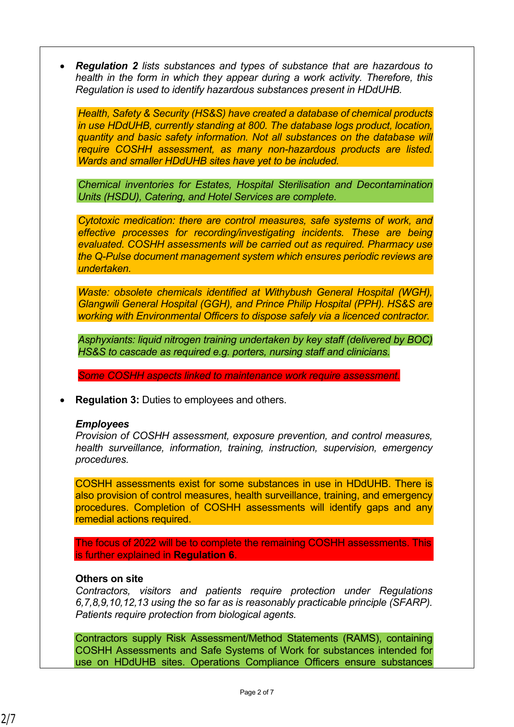*Regulation 2 lists substances and types of substance that are hazardous to health in the form in which they appear during a work activity. Therefore, this Regulation is used to identify hazardous substances present in HDdUHB.*

*Health, Safety & Security (HS&S) have created a database of chemical products in use HDdUHB, currently standing at 800. The database logs product, location, quantity and basic safety information. Not all substances on the database will require COSHH assessment, as many non-hazardous products are listed. Wards and smaller HDdUHB sites have yet to be included.*

*Chemical inventories for Estates, Hospital Sterilisation and Decontamination Units (HSDU), Catering, and Hotel Services are complete.*

*Cytotoxic medication: there are control measures, safe systems of work, and effective processes for recording/investigating incidents. These are being evaluated. COSHH assessments will be carried out as required. Pharmacy use the Q-Pulse document management system which ensures periodic reviews are undertaken.*

*Waste: obsolete chemicals identified at Withybush General Hospital (WGH), Glangwili General Hospital (GGH), and Prince Philip Hospital (PPH). HS&S are working with Environmental Officers to dispose safely via a licenced contractor.*

*Asphyxiants: liquid nitrogen training undertaken by key staff (delivered by BOC) HS&S to cascade as required e.g. porters, nursing staff and clinicians.*

*Some COSHH aspects linked to maintenance work require assessment.*

**Regulation 3:** Duties to employees and others.

#### *Employees*

*Provision of COSHH assessment, exposure prevention, and control measures, health surveillance, information, training, instruction, supervision, emergency procedures.*

COSHH assessments exist for some substances in use in HDdUHB. There is also provision of control measures, health surveillance, training, and emergency procedures. Completion of COSHH assessments will identify gaps and any remedial actions required.

The focus of 2022 will be to complete the remaining COSHH assessments. This is further explained in **Regulation 6**.

#### **Others on site**

*Contractors, visitors and patients require protection under Regulations 6,7,8,9,10,12,13 using the so far as is reasonably practicable principle (SFARP). Patients require protection from biological agents.*

Contractors supply Risk Assessment/Method Statements (RAMS), containing COSHH Assessments and Safe Systems of Work for substances intended for use on HDdUHB sites. Operations Compliance Officers ensure substances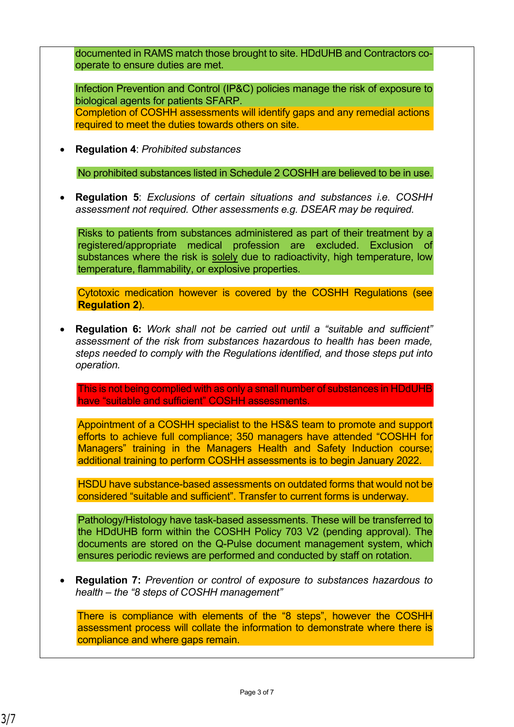documented in RAMS match those brought to site. HDdUHB and Contractors cooperate to ensure duties are met. Infection Prevention and Control (IP&C) policies manage the risk of exposure to biological agents for patients SFARP. Completion of COSHH assessments will identify gaps and any remedial actions required to meet the duties towards others on site. **Regulation 4**: *Prohibited substances* No prohibited substances listed in Schedule 2 COSHH are believed to be in use. **Regulation 5**: *Exclusions of certain situations and substances i.e. COSHH assessment not required. Other assessments e.g. DSEAR may be required.* Risks to patients from substances administered as part of their treatment by a registered/appropriate medical profession are excluded. Exclusion of substances where the risk is solely due to radioactivity, high temperature, low temperature, flammability, or explosive properties. Cytotoxic medication however is covered by the COSHH Regulations (see **Regulation 2**). **Regulation 6:** *Work shall not be carried out until a "suitable and sufficient" assessment of the risk from substances hazardous to health has been made, steps needed to comply with the Regulations identified, and those steps put into operation.* This is not being complied with as only a small number of substances in HDdUHB have "suitable and sufficient" COSHH assessments. Appointment of a COSHH specialist to the HS&S team to promote and support efforts to achieve full compliance; 350 managers have attended "COSHH for Managers" training in the Managers Health and Safety Induction course; additional training to perform COSHH assessments is to begin January 2022. HSDU have substance-based assessments on outdated forms that would not be considered "suitable and sufficient". Transfer to current forms is underway. Pathology/Histology have task-based assessments. These will be transferred to the HDdUHB form within the COSHH Policy 703 V2 (pending approval). The documents are stored on the Q-Pulse document management system, which ensures periodic reviews are performed and conducted by staff on rotation. **Regulation 7:** *Prevention or control of exposure to substances hazardous to health – the "8 steps of COSHH management"* There is compliance with elements of the "8 steps", however the COSHH assessment process will collate the information to demonstrate where there is compliance and where gaps remain.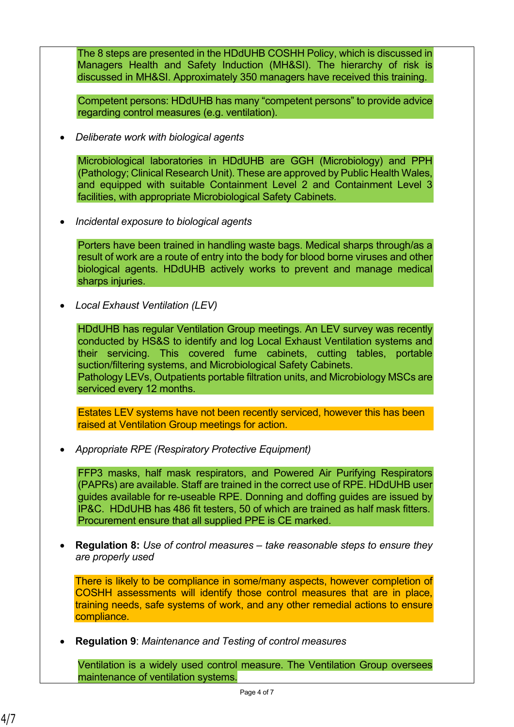The 8 steps are presented in the HDdUHB COSHH Policy, which is discussed in Managers Health and Safety Induction (MH&SI). The hierarchy of risk is discussed in MH&SI. Approximately 350 managers have received this training.

Competent persons: HDdUHB has many "competent persons" to provide advice regarding control measures (e.g. ventilation).

*Deliberate work with biological agents*

Microbiological laboratories in HDdUHB are GGH (Microbiology) and PPH (Pathology; Clinical Research Unit). These are approved by Public Health Wales, and equipped with suitable Containment Level 2 and Containment Level 3 facilities, with appropriate Microbiological Safety Cabinets*.*

*Incidental exposure to biological agents*

Porters have been trained in handling waste bags. Medical sharps through/as a result of work are a route of entry into the body for blood borne viruses and other biological agents. HDdUHB actively works to prevent and manage medical sharps injuries.

*Local Exhaust Ventilation (LEV)*

HDdUHB has regular Ventilation Group meetings. An LEV survey was recently conducted by HS&S to identify and log Local Exhaust Ventilation systems and their servicing. This covered fume cabinets, cutting tables, portable suction/filtering systems, and Microbiological Safety Cabinets. Pathology LEVs, Outpatients portable filtration units, and Microbiology MSCs are serviced every 12 months.

Estates LEV systems have not been recently serviced, however this has been raised at Ventilation Group meetings for action.

*Appropriate RPE (Respiratory Protective Equipment)*

FFP3 masks, half mask respirators, and Powered Air Purifying Respirators (PAPRs) are available. Staff are trained in the correct use of RPE. HDdUHB user guides available for re-useable RPE. Donning and doffing guides are issued by IP&C. HDdUHB has 486 fit testers, 50 of which are trained as half mask fitters. Procurement ensure that all supplied PPE is CE marked.

 **Regulation 8:** *Use of control measures – take reasonable steps to ensure they are properly used*

There is likely to be compliance in some/many aspects, however completion of COSHH assessments will identify those control measures that are in place, training needs, safe systems of work, and any other remedial actions to ensure compliance.

**Regulation 9**: *Maintenance and Testing of control measures*

Ventilation is a widely used control measure. The Ventilation Group oversees maintenance of ventilation systems.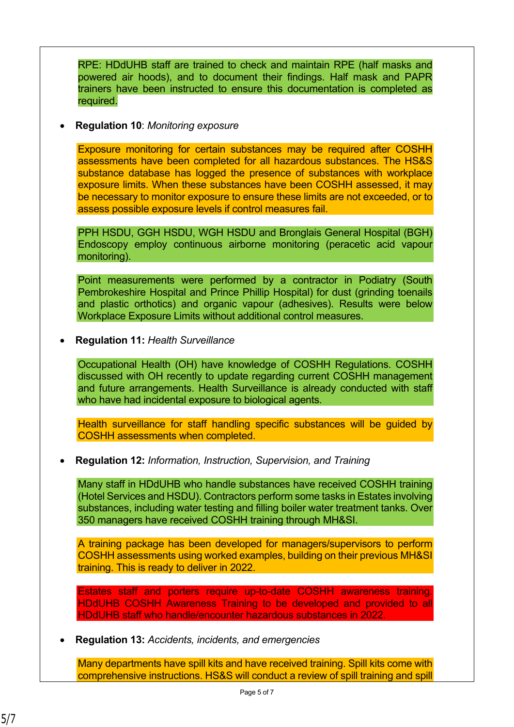RPE: HDdUHB staff are trained to check and maintain RPE (half masks and powered air hoods), and to document their findings. Half mask and PAPR trainers have been instructed to ensure this documentation is completed as required.

**Regulation 10**: *Monitoring exposure*

Exposure monitoring for certain substances may be required after COSHH assessments have been completed for all hazardous substances. The HS&S substance database has logged the presence of substances with workplace exposure limits. When these substances have been COSHH assessed, it may be necessary to monitor exposure to ensure these limits are not exceeded, or to assess possible exposure levels if control measures fail.

PPH HSDU, GGH HSDU, WGH HSDU and Bronglais General Hospital (BGH) Endoscopy employ continuous airborne monitoring (peracetic acid vapour monitoring).

Point measurements were performed by a contractor in Podiatry (South Pembrokeshire Hospital and Prince Phillip Hospital) for dust (grinding toenails and plastic orthotics) and organic vapour (adhesives). Results were below Workplace Exposure Limits without additional control measures.

**Regulation 11:** *Health Surveillance*

Occupational Health (OH) have knowledge of COSHH Regulations. COSHH discussed with OH recently to update regarding current COSHH management and future arrangements. Health Surveillance is already conducted with staff who have had incidental exposure to biological agents.

Health surveillance for staff handling specific substances will be guided by COSHH assessments when completed.

**Regulation 12:** *Information, Instruction, Supervision, and Training*

Many staff in HDdUHB who handle substances have received COSHH training (Hotel Services and HSDU). Contractors perform some tasks in Estates involving substances, including water testing and filling boiler water treatment tanks. Over 350 managers have received COSHH training through MH&SI.

A training package has been developed for managers/supervisors to perform COSHH assessments using worked examples, building on their previous MH&SI training. This is ready to deliver in 2022.

Estates staff and porters require up-to-date COSHH awareness training. HDdUHB COSHH Awareness Training to be developed and provided to all HDdUHB staff who handle/encounter hazardous substances in 2022.

**Regulation 13:** *Accidents, incidents, and emergencies*

Many departments have spill kits and have received training. Spill kits come with comprehensive instructions. HS&S will conduct a review of spill training and spill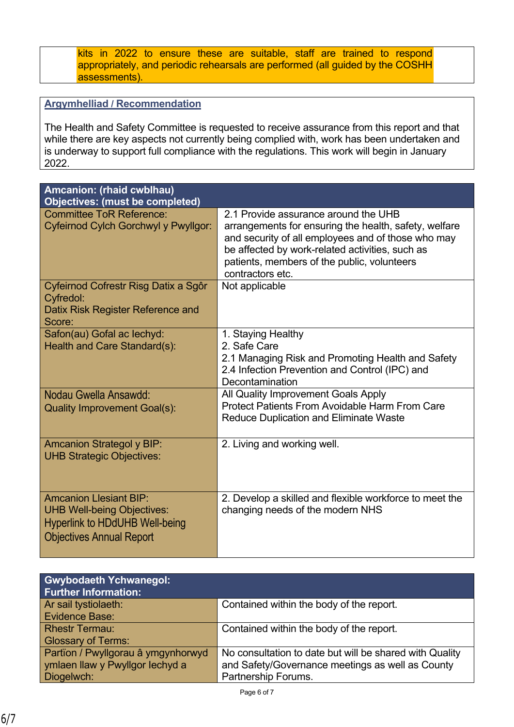kits in 2022 to ensure these are suitable, staff are trained to respond appropriately, and periodic rehearsals are performed (all guided by the COSHH assessments).

# **Argymhelliad / Recommendation**

The Health and Safety Committee is requested to receive assurance from this report and that while there are key aspects not currently being complied with, work has been undertaken and is underway to support full compliance with the regulations. This work will begin in January 2022.

| Amcanion: (rhaid cwblhau)<br><b>Objectives: (must be completed)</b>            |                                                                                                                                                      |
|--------------------------------------------------------------------------------|------------------------------------------------------------------------------------------------------------------------------------------------------|
| <b>Committee ToR Reference:</b><br><b>Cyfeirnod Cylch Gorchwyl y Pwyllgor:</b> | 2.1 Provide assurance around the UHB<br>arrangements for ensuring the health, safety, welfare                                                        |
|                                                                                | and security of all employees and of those who may<br>be affected by work-related activities, such as<br>patients, members of the public, volunteers |
|                                                                                | contractors etc.                                                                                                                                     |
| Cyfeirnod Cofrestr Risg Datix a Sgôr<br>Cyfredol:                              | Not applicable                                                                                                                                       |
| Datix Risk Register Reference and<br>Score:                                    |                                                                                                                                                      |
| Safon(au) Gofal ac lechyd:                                                     | 1. Staying Healthy                                                                                                                                   |
| Health and Care Standard(s):                                                   | 2. Safe Care                                                                                                                                         |
|                                                                                | 2.1 Managing Risk and Promoting Health and Safety<br>2.4 Infection Prevention and Control (IPC) and                                                  |
|                                                                                | Decontamination                                                                                                                                      |
| Nodau Gwella Ansawdd:                                                          | All Quality Improvement Goals Apply                                                                                                                  |
| <b>Quality Improvement Goal(s):</b>                                            | <b>Protect Patients From Avoidable Harm From Care</b><br><b>Reduce Duplication and Eliminate Waste</b>                                               |
| <b>Amcanion Strategol y BIP:</b>                                               | 2. Living and working well.                                                                                                                          |
| <b>UHB Strategic Objectives:</b>                                               |                                                                                                                                                      |
| <b>Amcanion Llesiant BIP:</b>                                                  | 2. Develop a skilled and flexible workforce to meet the                                                                                              |
| <b>UHB Well-being Objectives:</b>                                              | changing needs of the modern NHS                                                                                                                     |
| <b>Hyperlink to HDdUHB Well-being</b>                                          |                                                                                                                                                      |
| <b>Objectives Annual Report</b>                                                |                                                                                                                                                      |

| <b>Gwybodaeth Ychwanegol:</b><br><b>Further Information:</b> |                                                         |
|--------------------------------------------------------------|---------------------------------------------------------|
| Ar sail tystiolaeth:                                         | Contained within the body of the report.                |
| <b>Evidence Base:</b>                                        |                                                         |
| <b>Rhestr Termau:</b>                                        | Contained within the body of the report.                |
| <b>Glossary of Terms:</b>                                    |                                                         |
| Partïon / Pwyllgorau â ymgynhorwyd                           | No consultation to date but will be shared with Quality |
| ymlaen llaw y Pwyllgor lechyd a                              | and Safety/Governance meetings as well as County        |
| Diogelwch:                                                   | Partnership Forums.                                     |